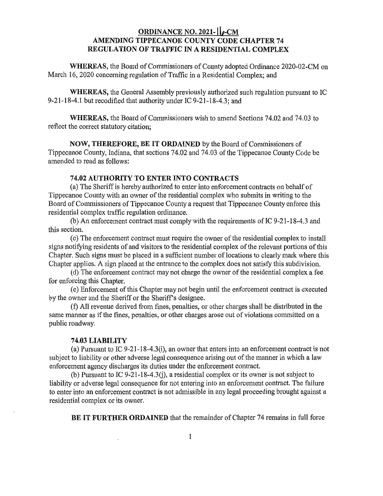## **ORDINANCE** N0. **3931—** Ila-CM **AMENDING TIPPECANOE COUNTY CODE CHAPTER** 74 **REGULATION** OF **TRAFFIC** IN A. **RESIDENTIAL COMPLEX**

**WHEREAS, the Board of Commissioners of County adopted Ordinance 2020-02-CM on** March 16, 2020 concerning regulation of **Traffic** in a Residential Complex; and

**WHEREAS,** the General Assembly previously authorized such regulation **pursuant** to IC 9~21-18»~4.1 but recodified that authority under IC **9~21-18—4.3;** and.

**WHEREAS,** the Board of **Commissioners** wish to amend **Sections** 74.02 and 74.03 to reflect the correct statutory **citation;** 

**NOW, THEREFORE,** BE IT **ORDAINED** by the Board of **Commissioners** of **Tippecanoe** County, **Indiana,** that **sections** 74.02 and 74.03 of the Tippecanoe County Code be amended to read as follows:

## **74.02 AUTHORITY** TO **ENTER INTO CONTRACTS**

(a) The Sheriff is hereby authorized to enter **into** enforcement contracts on behalf 0f Tippecanoe County with an owner of the residential complex who submits in writing to the Board of Commissioners of Tippecanoe **County** a **request that Tippecanoe County enforce this**  residential complex traffic regulation ordinance.

(b) An enforcement *contract* must comply with the requirements of IC 9~21~18~4.3' and **this** section.

(0) The **enforcement** contract must require the owner of the residential complex to install signs notifying residents of and visitors to the residential complex of the relevant portions of **this**  Chapter. **Such signs** must be placed in a **sufficient** number of locations to clearly mark **where this Chapter** applies. A sign placed at the entrance to the complex does not satisfy **this** subdivision.

(d) The enforcement contract may not charge the owner of the residential complex a fee for enforcing **this** Chapter.

(6) **Enforcement** of this Chapter may not begin **until** the enforcement **contract** is **executed**  by the owner and the Sheriff or the Sheriff's designee.

(i) All revenue derived from **fines,** penalties, or **other** charges shall be **distributed** in the **same** manner as if the **fines, penalties,** or **other charges** arose out of violations committed on a public roadway.

## **74.03 LIABILITY**

(a) Pursuant to. IC 9~21~18~4.3(i), an owner that enters into an **enforcement** contract is not subject to liability or **other** adverse legal consequence arising out of the manner in which a law enforcement agency discharges its **duties** under the enforcement contract.

(b) **Pursuant** to IC 9—21~18~4.3(j), **a** residential complex or its owner is not subject to liability or adverse legal consequence for not entering into an enforcement contract. The failure to enter into an enforcement **contract** is not admissible in any legal proceeding brought against a residential complex or its owner.

BE IT **FURTHER ORDAINED** that the **remainder** of **Chapter** 74 remains in full **force**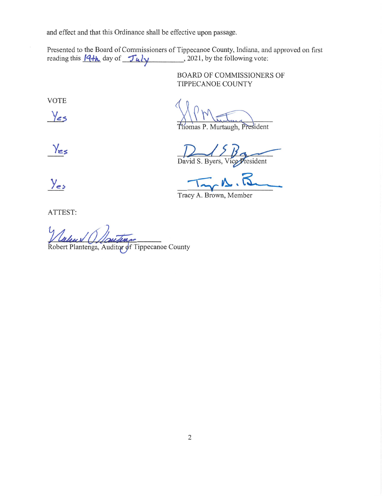and effect and that **this** Ordinance shall be effective **upon** passage.

Presented to the Board of Commissioners of Tippecanoe County, Indiana, and approved on first reading **this** (3+5, day of *1* Ala! *,* 2021, by the following vote:

> BOARD OF COMMISSIONERS OF TIPPECANOE COUNTY

VOTE

Yes

omas P. Murtaugh, President

Yes

David S. Byers, Vice President

 $Y_{es}$   $\frac{1}{\sqrt{2\pi}}$   $\frac{1}{\sqrt{2\pi}}$ 

Tracy A. **Brown,** Member

**ATTEST:** 

Robert Plantenga, Auditor of Tippecanoe County